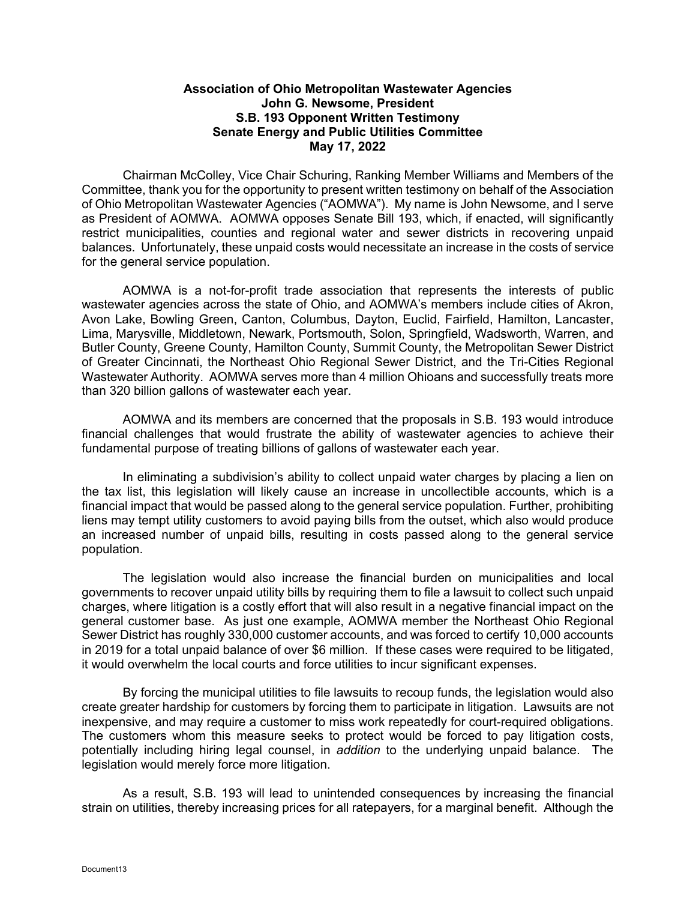## **Association of Ohio Metropolitan Wastewater Agencies John G. Newsome, President S.B. 193 Opponent Written Testimony Senate Energy and Public Utilities Committee May 17, 2022**

Chairman McColley, Vice Chair Schuring, Ranking Member Williams and Members of the Committee, thank you for the opportunity to present written testimony on behalf of the Association of Ohio Metropolitan Wastewater Agencies ("AOMWA"). My name is John Newsome, and I serve as President of AOMWA. AOMWA opposes Senate Bill 193, which, if enacted, will significantly restrict municipalities, counties and regional water and sewer districts in recovering unpaid balances. Unfortunately, these unpaid costs would necessitate an increase in the costs of service for the general service population.

AOMWA is a not-for-profit trade association that represents the interests of public wastewater agencies across the state of Ohio, and AOMWA's members include cities of Akron, Avon Lake, Bowling Green, Canton, Columbus, Dayton, Euclid, Fairfield, Hamilton, Lancaster, Lima, Marysville, Middletown, Newark, Portsmouth, Solon, Springfield, Wadsworth, Warren, and Butler County, Greene County, Hamilton County, Summit County, the Metropolitan Sewer District of Greater Cincinnati, the Northeast Ohio Regional Sewer District, and the Tri-Cities Regional Wastewater Authority. AOMWA serves more than 4 million Ohioans and successfully treats more than 320 billion gallons of wastewater each year.

AOMWA and its members are concerned that the proposals in S.B. 193 would introduce financial challenges that would frustrate the ability of wastewater agencies to achieve their fundamental purpose of treating billions of gallons of wastewater each year.

In eliminating a subdivision's ability to collect unpaid water charges by placing a lien on the tax list, this legislation will likely cause an increase in uncollectible accounts, which is a financial impact that would be passed along to the general service population. Further, prohibiting liens may tempt utility customers to avoid paying bills from the outset, which also would produce an increased number of unpaid bills, resulting in costs passed along to the general service population.

The legislation would also increase the financial burden on municipalities and local governments to recover unpaid utility bills by requiring them to file a lawsuit to collect such unpaid charges, where litigation is a costly effort that will also result in a negative financial impact on the general customer base. As just one example, AOMWA member the Northeast Ohio Regional Sewer District has roughly 330,000 customer accounts, and was forced to certify 10,000 accounts in 2019 for a total unpaid balance of over \$6 million. If these cases were required to be litigated, it would overwhelm the local courts and force utilities to incur significant expenses.

By forcing the municipal utilities to file lawsuits to recoup funds, the legislation would also create greater hardship for customers by forcing them to participate in litigation. Lawsuits are not inexpensive, and may require a customer to miss work repeatedly for court-required obligations. The customers whom this measure seeks to protect would be forced to pay litigation costs, potentially including hiring legal counsel, in *addition* to the underlying unpaid balance. The legislation would merely force more litigation.

As a result, S.B. 193 will lead to unintended consequences by increasing the financial strain on utilities, thereby increasing prices for all ratepayers, for a marginal benefit. Although the